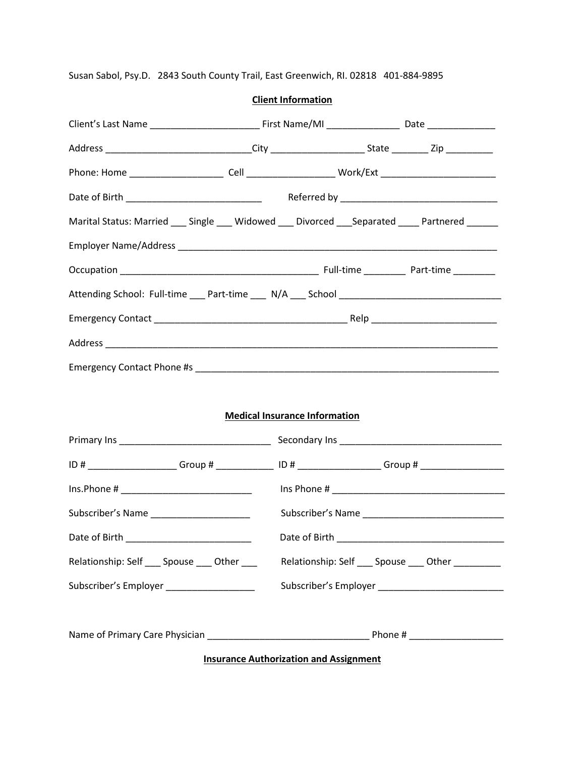Susan Sabol, Psy.D. 2843 South County Trail, East Greenwich, RI. 02818 401-884-9895

|                                                                                                                                                                                                                   | Address _______________________________City ________________________State __________Zip ___________ |                                                      |
|-------------------------------------------------------------------------------------------------------------------------------------------------------------------------------------------------------------------|-----------------------------------------------------------------------------------------------------|------------------------------------------------------|
|                                                                                                                                                                                                                   |                                                                                                     |                                                      |
|                                                                                                                                                                                                                   |                                                                                                     |                                                      |
|                                                                                                                                                                                                                   | Marital Status: Married ___ Single ___ Widowed ___ Divorced ___ Separated ____ Partnered ______     |                                                      |
|                                                                                                                                                                                                                   |                                                                                                     |                                                      |
|                                                                                                                                                                                                                   |                                                                                                     |                                                      |
|                                                                                                                                                                                                                   |                                                                                                     |                                                      |
|                                                                                                                                                                                                                   |                                                                                                     |                                                      |
|                                                                                                                                                                                                                   |                                                                                                     |                                                      |
|                                                                                                                                                                                                                   |                                                                                                     |                                                      |
|                                                                                                                                                                                                                   |                                                                                                     |                                                      |
|                                                                                                                                                                                                                   | <b>Medical Insurance Information</b>                                                                |                                                      |
|                                                                                                                                                                                                                   |                                                                                                     |                                                      |
|                                                                                                                                                                                                                   |                                                                                                     |                                                      |
|                                                                                                                                                                                                                   |                                                                                                     |                                                      |
|                                                                                                                                                                                                                   |                                                                                                     |                                                      |
|                                                                                                                                                                                                                   |                                                                                                     | Relationship: Self ____ Spouse ____ Other __________ |
| $Ins.Phone # ____________$<br>Subscriber's Name _______________________<br>Date of Birth ____________________________<br>Relationship: Self ___ Spouse ___ Other ___<br>Subscriber's Employer ___________________ |                                                                                                     |                                                      |

**Client Information**